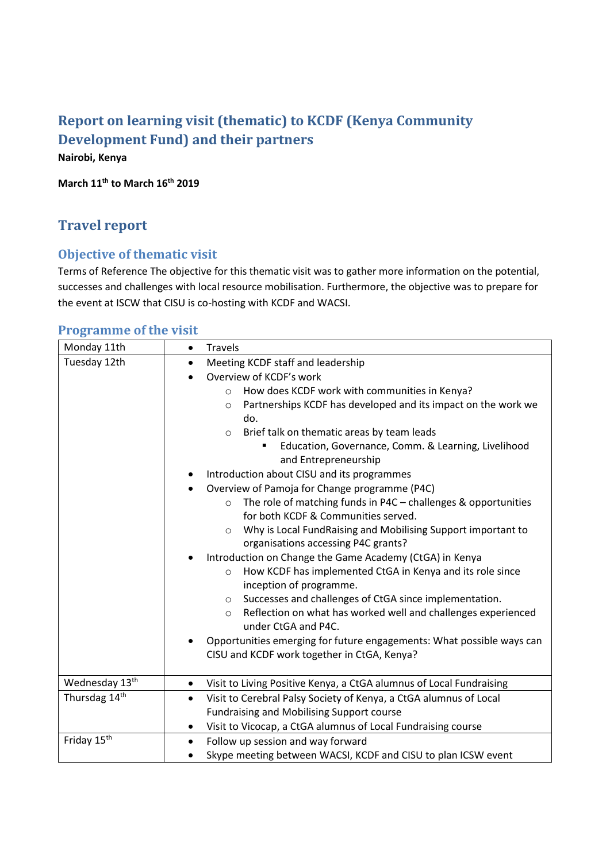# **Report on learning visit (thematic) to KCDF (Kenya Community Development Fund) and their partners Nairobi, Kenya**

**March 11th to March 16th 2019**

# **Travel report**

# **Objective of thematic visit**

Terms of Reference The objective for this thematic visit was to gather more information on the potential, successes and challenges with local resource mobilisation. Furthermore, the objective was to prepare for the event at ISCW that CISU is co-hosting with KCDF and WACSI.

## **Programme of the visit**

| Monday 11th             | <b>Travels</b><br>$\bullet$                                                                     |
|-------------------------|-------------------------------------------------------------------------------------------------|
| Tuesday 12th            | Meeting KCDF staff and leadership<br>$\bullet$                                                  |
|                         | Overview of KCDF's work                                                                         |
|                         | How does KCDF work with communities in Kenya?<br>$\circ$                                        |
|                         | Partnerships KCDF has developed and its impact on the work we<br>$\circ$                        |
|                         | do.                                                                                             |
|                         | Brief talk on thematic areas by team leads<br>$\circ$                                           |
|                         | Education, Governance, Comm. & Learning, Livelihood                                             |
|                         | and Entrepreneurship                                                                            |
|                         | Introduction about CISU and its programmes                                                      |
|                         | Overview of Pamoja for Change programme (P4C)                                                   |
|                         | The role of matching funds in P4C - challenges & opportunities<br>$\circ$                       |
|                         | for both KCDF & Communities served.                                                             |
|                         | Why is Local FundRaising and Mobilising Support important to<br>$\circ$                         |
|                         | organisations accessing P4C grants?                                                             |
|                         | Introduction on Change the Game Academy (CtGA) in Kenya<br>٠                                    |
|                         | How KCDF has implemented CtGA in Kenya and its role since<br>$\circ$                            |
|                         | inception of programme.                                                                         |
|                         | Successes and challenges of CtGA since implementation.<br>$\circ$                               |
|                         | Reflection on what has worked well and challenges experienced<br>$\circ$<br>under CtGA and P4C. |
|                         | Opportunities emerging for future engagements: What possible ways can                           |
|                         | CISU and KCDF work together in CtGA, Kenya?                                                     |
|                         |                                                                                                 |
| Wednesday 13th          | Visit to Living Positive Kenya, a CtGA alumnus of Local Fundraising<br>٠                        |
| Thursdag 14th           | Visit to Cerebral Palsy Society of Kenya, a CtGA alumnus of Local<br>$\bullet$                  |
|                         | <b>Fundraising and Mobilising Support course</b>                                                |
|                         | Visit to Vicocap, a CtGA alumnus of Local Fundraising course<br>$\bullet$                       |
| Friday 15 <sup>th</sup> | Follow up session and way forward<br>$\bullet$                                                  |
|                         | Skype meeting between WACSI, KCDF and CISU to plan ICSW event                                   |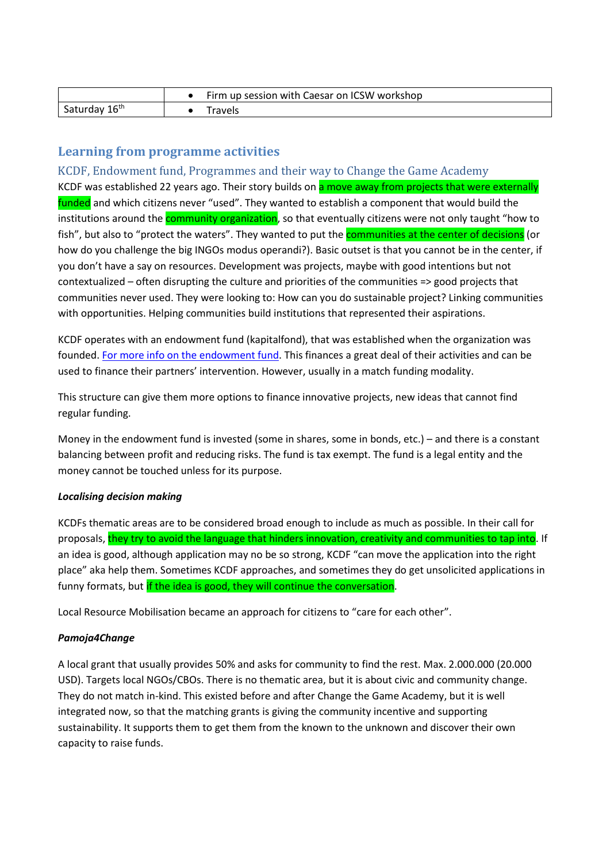|                           | Firm up session with Caesar on ICSW workshop |
|---------------------------|----------------------------------------------|
| Saturday 16 <sup>th</sup> | Fravels                                      |

## **Learning from programme activities**

KCDF, Endowment fund, Programmes and their way to Change the Game Academy KCDF was established 22 years ago. Their story builds on a move away from projects that were externally funded and which citizens never "used". They wanted to establish a component that would build the institutions around the **community organization**, so that eventually citizens were not only taught "how to fish", but also to "protect the waters". They wanted to put the **communities at the center of decisions** (or how do you challenge the big INGOs modus operandi?). Basic outset is that you cannot be in the center, if you don't have a say on resources. Development was projects, maybe with good intentions but not contextualized – often disrupting the culture and priorities of the communities => good projects that communities never used. They were looking to: How can you do sustainable project? Linking communities with opportunities. Helping communities build institutions that represented their aspirations.

KCDF operates with an endowment fund (kapitalfond), that was established when the organization was founded. [For more info on the endowment fund.](file://///srv-file01/Datadrev/06_Temagrupper/15_Sydsamarbejde/04_Sydsamarbejde%20(grp)/Learning%20visit%20to%20Kenya%20march%202019/KCDF%20Endowment%20Fund/Community%20Assets.pdf) This finances a great deal of their activities and can be used to finance their partners' intervention. However, usually in a match funding modality.

This structure can give them more options to finance innovative projects, new ideas that cannot find regular funding.

Money in the endowment fund is invested (some in shares, some in bonds, etc.) – and there is a constant balancing between profit and reducing risks. The fund is tax exempt. The fund is a legal entity and the money cannot be touched unless for its purpose.

### *Localising decision making*

KCDFs thematic areas are to be considered broad enough to include as much as possible. In their call for proposals, they try to avoid the language that hinders innovation, creativity and communities to tap into. If an idea is good, although application may no be so strong, KCDF "can move the application into the right place" aka help them. Sometimes KCDF approaches, and sometimes they do get unsolicited applications in funny formats, but if the idea is good, they will continue the conversation.

Local Resource Mobilisation became an approach for citizens to "care for each other".

### *Pamoja4Change*

A local grant that usually provides 50% and asks for community to find the rest. Max. 2.000.000 (20.000 USD). Targets local NGOs/CBOs. There is no thematic area, but it is about civic and community change. They do not match in-kind. This existed before and after Change the Game Academy, but it is well integrated now, so that the matching grants is giving the community incentive and supporting sustainability. It supports them to get them from the known to the unknown and discover their own capacity to raise funds.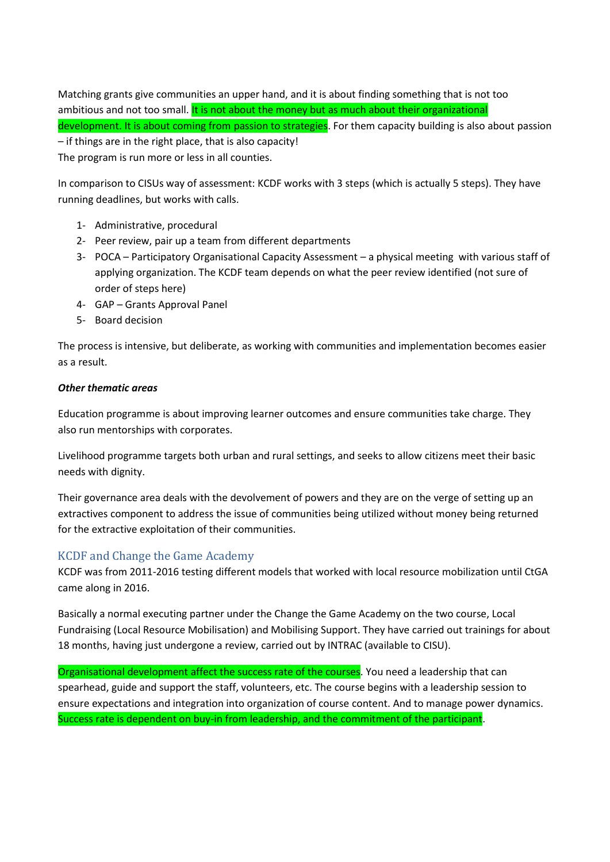Matching grants give communities an upper hand, and it is about finding something that is not too ambitious and not too small. It is not about the money but as much about their organizational development. It is about coming from passion to strategies. For them capacity building is also about passion – if things are in the right place, that is also capacity! The program is run more or less in all counties.

In comparison to CISUs way of assessment: KCDF works with 3 steps (which is actually 5 steps). They have running deadlines, but works with calls.

- 1- Administrative, procedural
- 2- Peer review, pair up a team from different departments
- 3- POCA Participatory Organisational Capacity Assessment a physical meeting with various staff of applying organization. The KCDF team depends on what the peer review identified (not sure of order of steps here)
- 4- GAP Grants Approval Panel
- 5- Board decision

The process is intensive, but deliberate, as working with communities and implementation becomes easier as a result.

#### *Other thematic areas*

Education programme is about improving learner outcomes and ensure communities take charge. They also run mentorships with corporates.

Livelihood programme targets both urban and rural settings, and seeks to allow citizens meet their basic needs with dignity.

Their governance area deals with the devolvement of powers and they are on the verge of setting up an extractives component to address the issue of communities being utilized without money being returned for the extractive exploitation of their communities.

### KCDF and Change the Game Academy

KCDF was from 2011-2016 testing different models that worked with local resource mobilization until CtGA came along in 2016.

Basically a normal executing partner under the Change the Game Academy on the two course, Local Fundraising (Local Resource Mobilisation) and Mobilising Support. They have carried out trainings for about 18 months, having just undergone a review, carried out by INTRAC (available to CISU).

Organisational development affect the success rate of the courses. You need a leadership that can spearhead, guide and support the staff, volunteers, etc. The course begins with a leadership session to ensure expectations and integration into organization of course content. And to manage power dynamics. Success rate is dependent on buy-in from leadership, and the commitment of the participant.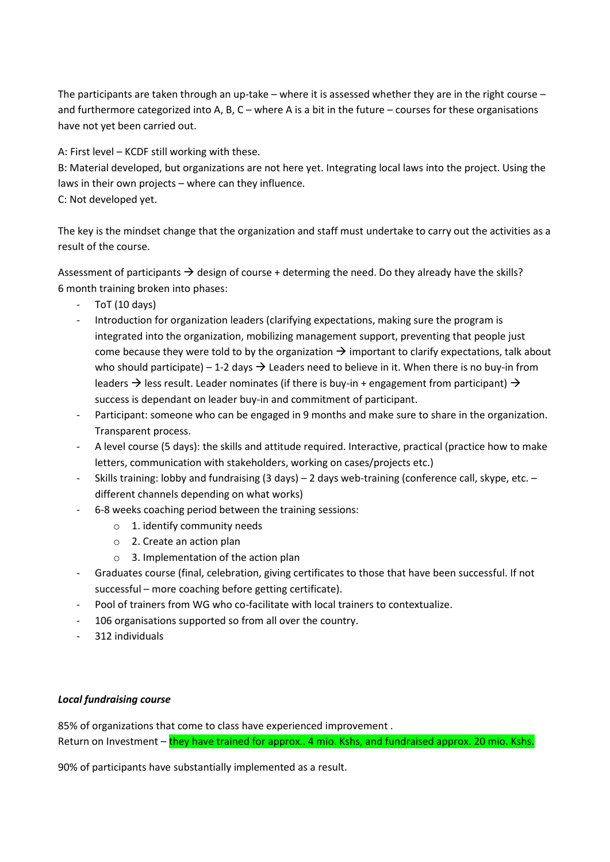The participants are taken through an up-take – where it is assessed whether they are in the right course – and furthermore categorized into A, B, C – where A is a bit in the future – courses for these organisations have not yet been carried out.

A: First level – KCDF still working with these.

B: Material developed, but organizations are not here yet. Integrating local laws into the project. Using the laws in their own projects – where can they influence.

C: Not developed yet.

The key is the mindset change that the organization and staff must undertake to carry out the activities as a result of the course.

Assessment of participants  $\rightarrow$  design of course + determing the need. Do they already have the skills? 6 month training broken into phases:

- ToT (10 days)
- Introduction for organization leaders (clarifying expectations, making sure the program is integrated into the organization, mobilizing management support, preventing that people just come because they were told to by the organization  $\rightarrow$  important to clarify expectations, talk about who should participate) – 1-2 days  $\rightarrow$  Leaders need to believe in it. When there is no buy-in from leaders  $\rightarrow$  less result. Leader nominates (if there is buy-in + engagement from participant)  $\rightarrow$ success is dependant on leader buy-in and commitment of participant.
- Participant: someone who can be engaged in 9 months and make sure to share in the organization. Transparent process.
- A level course (5 days): the skills and attitude required. Interactive, practical (practice how to make letters, communication with stakeholders, working on cases/projects etc.)
- Skills training: lobby and fundraising (3 days) 2 days web-training (conference call, skype, etc. different channels depending on what works)
- 6-8 weeks coaching period between the training sessions:
	- o 1. identify community needs
	- o 2. Create an action plan
	- o 3. Implementation of the action plan
- Graduates course (final, celebration, giving certificates to those that have been successful. If not successful – more coaching before getting certificate).
- Pool of trainers from WG who co-facilitate with local trainers to contextualize.
- 106 organisations supported so from all over the country.
- 312 individuals

### *Local fundraising course*

85% of organizations that come to class have experienced improvement . Return on Investment – they have trained for approx.. 4 mio. Kshs, and fundraised approx. 20 mio. Kshs.

90% of participants have substantially implemented as a result.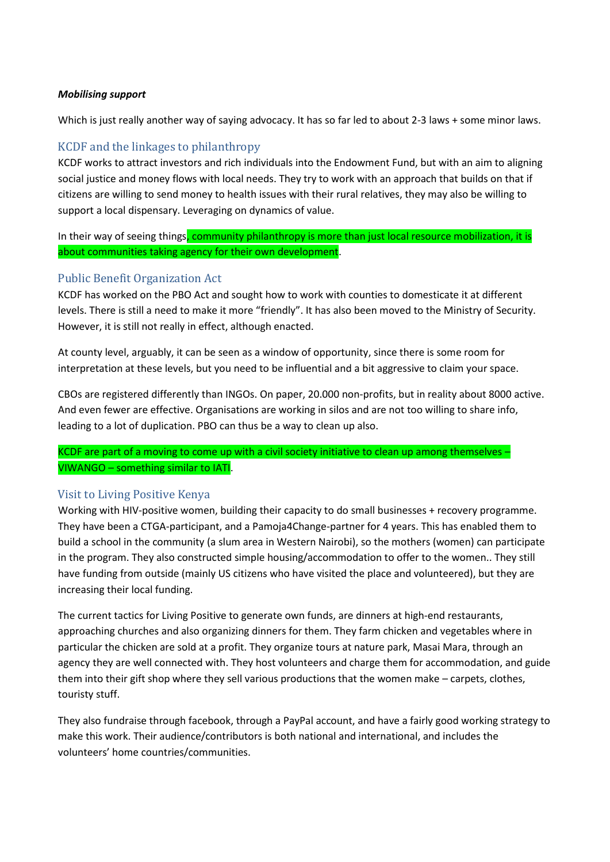#### *Mobilising support*

Which is just really another way of saying advocacy. It has so far led to about 2-3 laws + some minor laws.

## KCDF and the linkages to philanthropy

KCDF works to attract investors and rich individuals into the Endowment Fund, but with an aim to aligning social justice and money flows with local needs. They try to work with an approach that builds on that if citizens are willing to send money to health issues with their rural relatives, they may also be willing to support a local dispensary. Leveraging on dynamics of value.

In their way of seeing things, community philanthropy is more than just local resource mobilization, it is about communities taking agency for their own development.

## Public Benefit Organization Act

KCDF has worked on the PBO Act and sought how to work with counties to domesticate it at different levels. There is still a need to make it more "friendly". It has also been moved to the Ministry of Security. However, it is still not really in effect, although enacted.

At county level, arguably, it can be seen as a window of opportunity, since there is some room for interpretation at these levels, but you need to be influential and a bit aggressive to claim your space.

CBOs are registered differently than INGOs. On paper, 20.000 non-profits, but in reality about 8000 active. And even fewer are effective. Organisations are working in silos and are not too willing to share info, leading to a lot of duplication. PBO can thus be a way to clean up also.

KCDF are part of a moving to come up with a civil society initiative to clean up among themselves -VIWANGO – something similar to IATI.

### Visit to Living Positive Kenya

Working with HIV-positive women, building their capacity to do small businesses + recovery programme. They have been a CTGA-participant, and a Pamoja4Change-partner for 4 years. This has enabled them to build a school in the community (a slum area in Western Nairobi), so the mothers (women) can participate in the program. They also constructed simple housing/accommodation to offer to the women.. They still have funding from outside (mainly US citizens who have visited the place and volunteered), but they are increasing their local funding.

The current tactics for Living Positive to generate own funds, are dinners at high-end restaurants, approaching churches and also organizing dinners for them. They farm chicken and vegetables where in particular the chicken are sold at a profit. They organize tours at nature park, Masai Mara, through an agency they are well connected with. They host volunteers and charge them for accommodation, and guide them into their gift shop where they sell various productions that the women make – carpets, clothes, touristy stuff.

They also fundraise through facebook, through a PayPal account, and have a fairly good working strategy to make this work. Their audience/contributors is both national and international, and includes the volunteers' home countries/communities.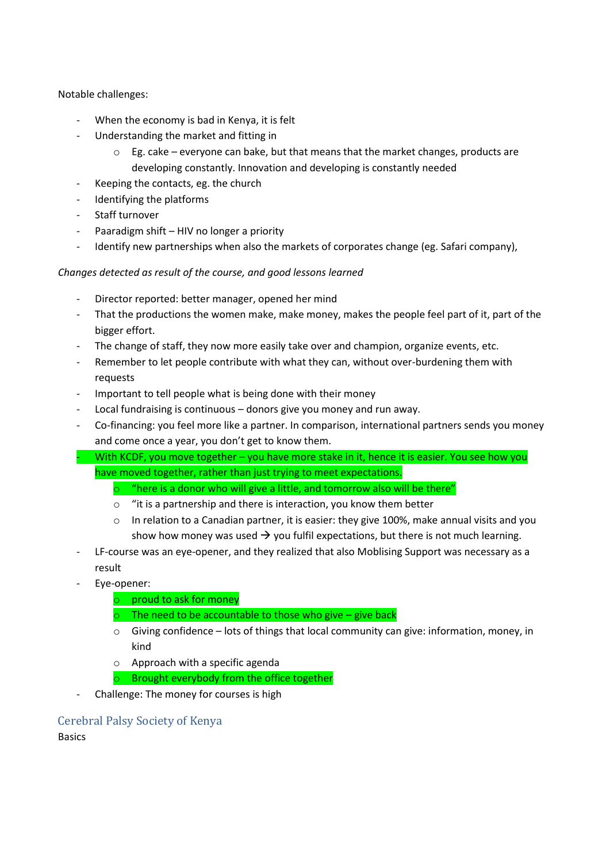Notable challenges:

- When the economy is bad in Kenya, it is felt
- Understanding the market and fitting in
	- $\circ$  Eg. cake everyone can bake, but that means that the market changes, products are developing constantly. Innovation and developing is constantly needed
- Keeping the contacts, eg. the church
- Identifying the platforms
- Staff turnover
- Paaradigm shift HIV no longer a priority
- Identify new partnerships when also the markets of corporates change (eg. Safari company),

### *Changes detected as result of the course, and good lessons learned*

- Director reported: better manager, opened her mind
- That the productions the women make, make money, makes the people feel part of it, part of the bigger effort.
- The change of staff, they now more easily take over and champion, organize events, etc.
- Remember to let people contribute with what they can, without over-burdening them with requests
- Important to tell people what is being done with their money
- Local fundraising is continuous donors give you money and run away.
- Co-financing: you feel more like a partner. In comparison, international partners sends you money and come once a year, you don't get to know them.
- With KCDF, you move together you have more stake in it, hence it is easier. You see how you have moved together, rather than just trying to meet expectations.
	- $\circ$  "here is a donor who will give a little, and tomorrow also will be there"
	- o "it is a partnership and there is interaction, you know them better
	- $\circ$  In relation to a Canadian partner, it is easier: they give 100%, make annual visits and you show how money was used  $\rightarrow$  you fulfil expectations, but there is not much learning.
- LF-course was an eye-opener, and they realized that also Moblising Support was necessary as a result
- Eye-opener:
	- o proud to ask for money
	- $\circ$  The need to be accountable to those who give give back
	- $\circ$  Giving confidence lots of things that local community can give: information, money, in kind
	- o Approach with a specific agenda
	- o Brought everybody from the office together
- Challenge: The money for courses is high

## Cerebral Palsy Society of Kenya

Basics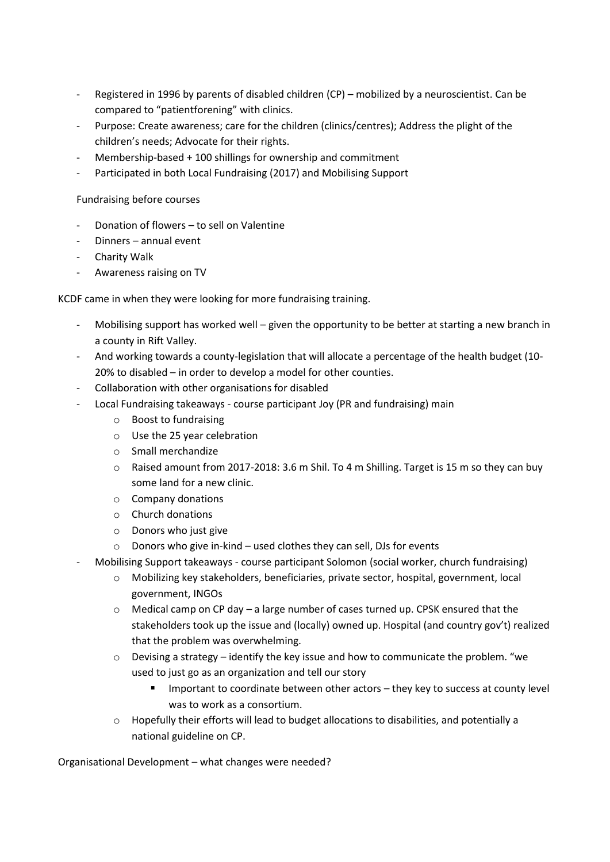- Registered in 1996 by parents of disabled children (CP) mobilized by a neuroscientist. Can be compared to "patientforening" with clinics.
- Purpose: Create awareness; care for the children (clinics/centres); Address the plight of the children's needs; Advocate for their rights.
- Membership-based + 100 shillings for ownership and commitment
- Participated in both Local Fundraising (2017) and Mobilising Support

Fundraising before courses

- Donation of flowers to sell on Valentine
- Dinners annual event
- Charity Walk
- Awareness raising on TV

KCDF came in when they were looking for more fundraising training.

- Mobilising support has worked well given the opportunity to be better at starting a new branch in a county in Rift Valley.
- And working towards a county-legislation that will allocate a percentage of the health budget (10- 20% to disabled – in order to develop a model for other counties.
- Collaboration with other organisations for disabled
- Local Fundraising takeaways course participant Joy (PR and fundraising) main
	- o Boost to fundraising
	- o Use the 25 year celebration
	- o Small merchandize
	- $\circ$  Raised amount from 2017-2018: 3.6 m Shil. To 4 m Shilling. Target is 15 m so they can buy some land for a new clinic.
	- o Company donations
	- o Church donations
	- o Donors who just give
	- o Donors who give in-kind used clothes they can sell, DJs for events
- Mobilising Support takeaways course participant Solomon (social worker, church fundraising)
	- o Mobilizing key stakeholders, beneficiaries, private sector, hospital, government, local government, INGOs
	- o Medical camp on CP day a large number of cases turned up. CPSK ensured that the stakeholders took up the issue and (locally) owned up. Hospital (and country gov't) realized that the problem was overwhelming.
	- $\circ$  Devising a strategy identify the key issue and how to communicate the problem. "we used to just go as an organization and tell our story
		- Important to coordinate between other actors they key to success at county level was to work as a consortium.
	- o Hopefully their efforts will lead to budget allocations to disabilities, and potentially a national guideline on CP.

Organisational Development – what changes were needed?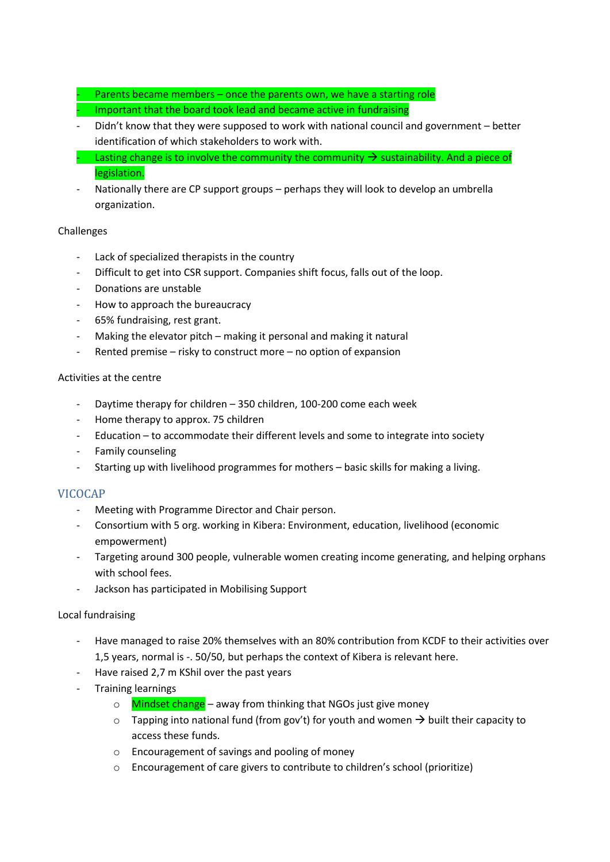- Parents became members once the parents own, we have a starting role
- Important that the board took lead and became active in fundraising
- Didn't know that they were supposed to work with national council and government better identification of which stakeholders to work with.
- Lasting change is to involve the community the community  $\rightarrow$  sustainability. And a piece of legislation.
- Nationally there are CP support groups perhaps they will look to develop an umbrella organization.

#### Challenges

- Lack of specialized therapists in the country
- Difficult to get into CSR support. Companies shift focus, falls out of the loop.
- Donations are unstable
- How to approach the bureaucracy
- 65% fundraising, rest grant.
- Making the elevator pitch making it personal and making it natural
- Rented premise risky to construct more no option of expansion

#### Activities at the centre

- Daytime therapy for children 350 children, 100-200 come each week
- Home therapy to approx. 75 children
- Education to accommodate their different levels and some to integrate into society
- Family counseling
- Starting up with livelihood programmes for mothers basic skills for making a living.

### VICOCAP

- Meeting with Programme Director and Chair person.
- Consortium with 5 org. working in Kibera: Environment, education, livelihood (economic empowerment)
- Targeting around 300 people, vulnerable women creating income generating, and helping orphans with school fees.
- Jackson has participated in Mobilising Support

#### Local fundraising

- Have managed to raise 20% themselves with an 80% contribution from KCDF to their activities over 1,5 years, normal is -. 50/50, but perhaps the context of Kibera is relevant here.
- Have raised 2,7 m KShil over the past years
- Training learnings
	- $\circ$  Mindset change away from thinking that NGOs just give money
	- $\circ$  Tapping into national fund (from gov't) for youth and women  $\rightarrow$  built their capacity to access these funds.
	- o Encouragement of savings and pooling of money
	- o Encouragement of care givers to contribute to children's school (prioritize)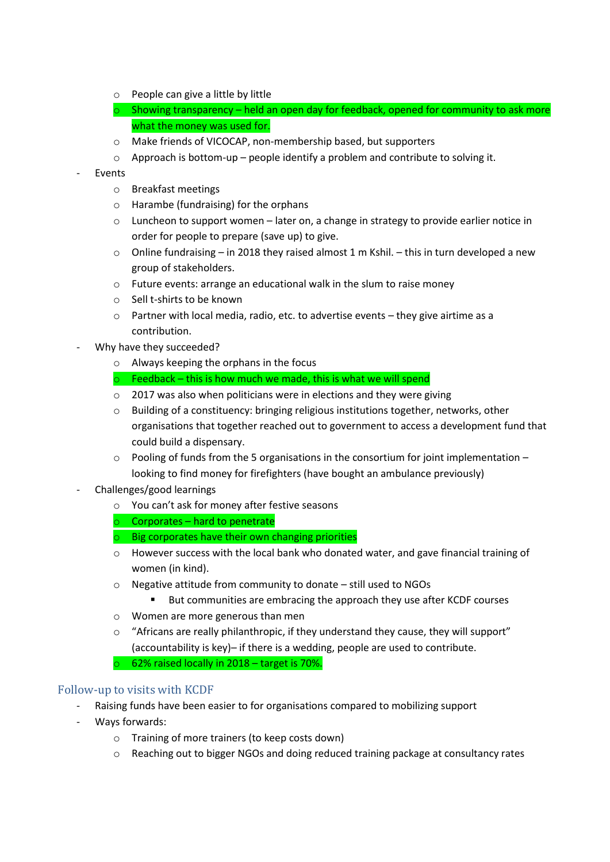- o People can give a little by little
- $\circ$  Showing transparency held an open day for feedback, opened for community to ask more what the money was used for.
- o Make friends of VICOCAP, non-membership based, but supporters
- o Approach is bottom-up people identify a problem and contribute to solving it.
- **Events** 
	- o Breakfast meetings
	- o Harambe (fundraising) for the orphans
	- $\circ$  Luncheon to support women later on, a change in strategy to provide earlier notice in order for people to prepare (save up) to give.
	- o Online fundraising in 2018 they raised almost 1 m Kshil. this in turn developed a new group of stakeholders.
	- o Future events: arrange an educational walk in the slum to raise money
	- o Sell t-shirts to be known
	- o Partner with local media, radio, etc. to advertise events they give airtime as a contribution.
- Why have they succeeded?
	- o Always keeping the orphans in the focus
	- $\circ$  Feedback this is how much we made, this is what we will spend
	- o 2017 was also when politicians were in elections and they were giving
	- $\circ$  Building of a constituency: bringing religious institutions together, networks, other organisations that together reached out to government to access a development fund that could build a dispensary.
	- o Pooling of funds from the 5 organisations in the consortium for joint implementation looking to find money for firefighters (have bought an ambulance previously)
- Challenges/good learnings
	- o You can't ask for money after festive seasons
	- $\circ$  Corporates hard to penetrate
	- $\circ$  Big corporates have their own changing priorities
	- $\circ$  However success with the local bank who donated water, and gave financial training of women (in kind).
	- o Negative attitude from community to donate still used to NGOs
		- But communities are embracing the approach they use after KCDF courses
	- o Women are more generous than men
	- o "Africans are really philanthropic, if they understand they cause, they will support" (accountability is key)– if there is a wedding, people are used to contribute.

o 62% raised locally in 2018 – target is 70%.

### Follow-up to visits with KCDF

- Raising funds have been easier to for organisations compared to mobilizing support
- Ways forwards:
	- o Training of more trainers (to keep costs down)
	- $\circ$  Reaching out to bigger NGOs and doing reduced training package at consultancy rates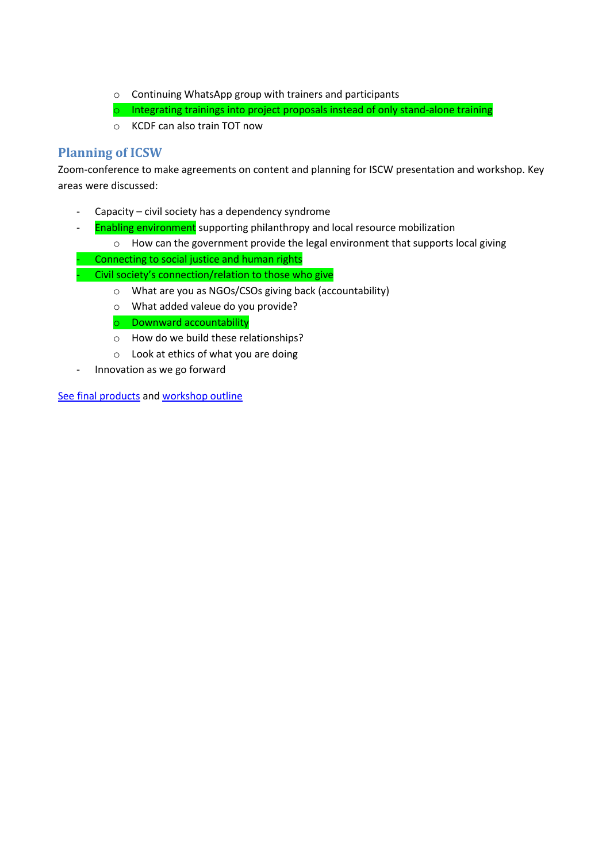- o Continuing WhatsApp group with trainers and participants
- o Integrating trainings into project proposals instead of only stand-alone training
- o KCDF can also train TOT now

## **Planning of ICSW**

Zoom-conference to make agreements on content and planning for ISCW presentation and workshop. Key areas were discussed:

- Capacity civil society has a dependency syndrome
- Enabling environment supporting philanthropy and local resource mobilization
	- o How can the government provide the legal environment that supports local giving
	- Connecting to social justice and human rights
	- Civil society's connection/relation to those who give
		- o What are you as NGOs/CSOs giving back (accountability)
		- o What added valeue do you provide?

o Downward accountability

- o How do we build these relationships?
- o Look at ethics of what you are doing
- Innovation as we go forward

[See final products](file://///srv-file01/Datadrev/06_Temagrupper/15_Sydsamarbejde/04_Sydsamarbejde%20(grp)/ICSW%202019) an[d workshop outline](https://create.piktochart.com/output/38119758-untitled-presentation)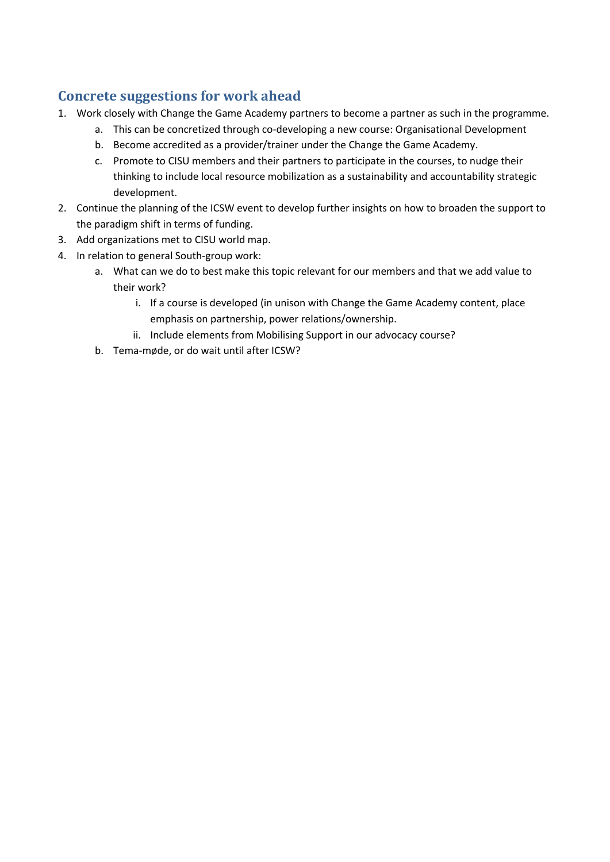# **Concrete suggestions for work ahead**

- 1. Work closely with Change the Game Academy partners to become a partner as such in the programme.
	- a. This can be concretized through co-developing a new course: Organisational Development
	- b. Become accredited as a provider/trainer under the Change the Game Academy.
	- c. Promote to CISU members and their partners to participate in the courses, to nudge their thinking to include local resource mobilization as a sustainability and accountability strategic development.
- 2. Continue the planning of the ICSW event to develop further insights on how to broaden the support to the paradigm shift in terms of funding.
- 3. Add organizations met to CISU world map.
- 4. In relation to general South-group work:
	- a. What can we do to best make this topic relevant for our members and that we add value to their work?
		- i. If a course is developed (in unison with Change the Game Academy content, place emphasis on partnership, power relations/ownership.
		- ii. Include elements from Mobilising Support in our advocacy course?
	- b. Tema-møde, or do wait until after ICSW?